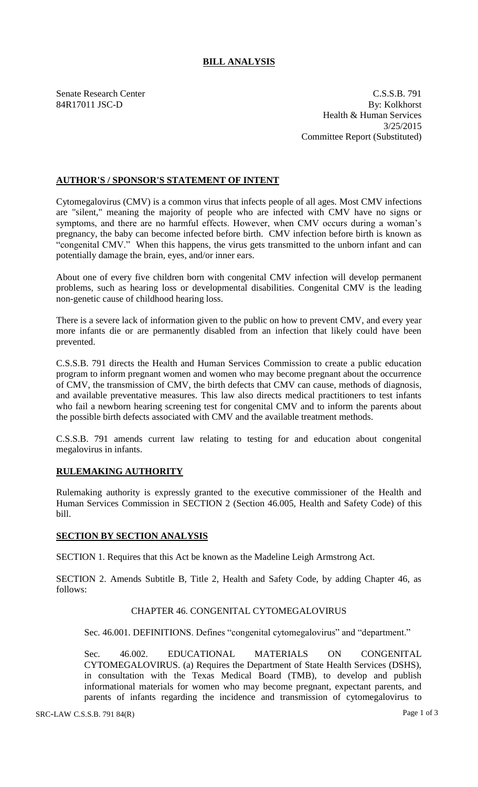# **BILL ANALYSIS**

Senate Research Center C.S.S.B. 791 84R17011 JSC-D By: Kolkhorst Health & Human Services 3/25/2015 Committee Report (Substituted)

## **AUTHOR'S / SPONSOR'S STATEMENT OF INTENT**

Cytomegalovirus (CMV) is a common virus that infects people of all ages. Most CMV infections are "silent," meaning the majority of people who are infected with CMV have no signs or symptoms, and there are no harmful effects. However, when CMV occurs during a woman's pregnancy, the baby can become infected before birth. CMV infection before birth is known as "congenital CMV." When this happens, the virus gets transmitted to the unborn infant and can potentially damage the brain, eyes, and/or inner ears.

About one of every five children born with congenital CMV infection will develop permanent problems, such as hearing loss or developmental disabilities. Congenital CMV is the leading non-genetic cause of childhood hearing loss.

There is a severe lack of information given to the public on how to prevent CMV, and every year more infants die or are permanently disabled from an infection that likely could have been prevented.

C.S.S.B. 791 directs the Health and Human Services Commission to create a public education program to inform pregnant women and women who may become pregnant about the occurrence of CMV, the transmission of CMV, the birth defects that CMV can cause, methods of diagnosis, and available preventative measures. This law also directs medical practitioners to test infants who fail a newborn hearing screening test for congenital CMV and to inform the parents about the possible birth defects associated with CMV and the available treatment methods.

C.S.S.B. 791 amends current law relating to testing for and education about congenital megalovirus in infants.

### **RULEMAKING AUTHORITY**

Rulemaking authority is expressly granted to the executive commissioner of the Health and Human Services Commission in SECTION 2 (Section 46.005, Health and Safety Code) of this bill.

### **SECTION BY SECTION ANALYSIS**

SECTION 1. Requires that this Act be known as the Madeline Leigh Armstrong Act.

SECTION 2. Amends Subtitle B, Title 2, Health and Safety Code, by adding Chapter 46, as follows:

### CHAPTER 46. CONGENITAL CYTOMEGALOVIRUS

Sec. 46.001. DEFINITIONS. Defines "congenital cytomegalovirus" and "department."

Sec. 46.002. EDUCATIONAL MATERIALS ON CONGENITAL CYTOMEGALOVIRUS. (a) Requires the Department of State Health Services (DSHS), in consultation with the Texas Medical Board (TMB), to develop and publish informational materials for women who may become pregnant, expectant parents, and parents of infants regarding the incidence and transmission of cytomegalovirus to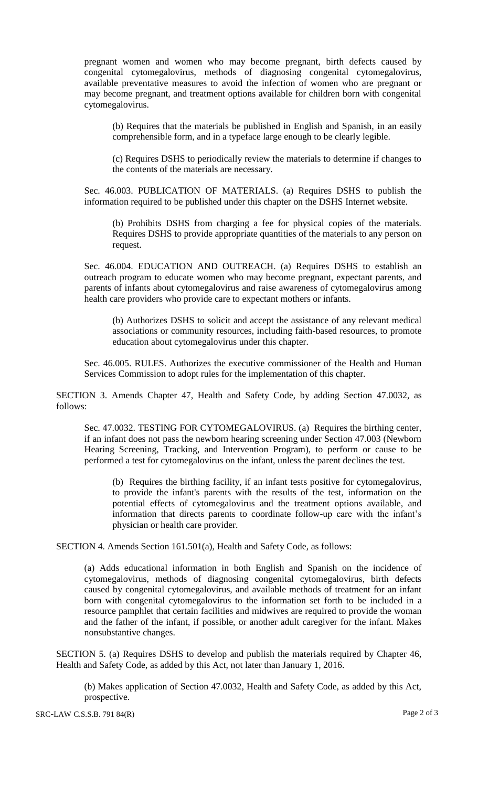pregnant women and women who may become pregnant, birth defects caused by congenital cytomegalovirus, methods of diagnosing congenital cytomegalovirus, available preventative measures to avoid the infection of women who are pregnant or may become pregnant, and treatment options available for children born with congenital cytomegalovirus.

(b) Requires that the materials be published in English and Spanish, in an easily comprehensible form, and in a typeface large enough to be clearly legible.

(c) Requires DSHS to periodically review the materials to determine if changes to the contents of the materials are necessary.

Sec. 46.003. PUBLICATION OF MATERIALS. (a) Requires DSHS to publish the information required to be published under this chapter on the DSHS Internet website.

(b) Prohibits DSHS from charging a fee for physical copies of the materials. Requires DSHS to provide appropriate quantities of the materials to any person on request.

Sec. 46.004. EDUCATION AND OUTREACH. (a) Requires DSHS to establish an outreach program to educate women who may become pregnant, expectant parents, and parents of infants about cytomegalovirus and raise awareness of cytomegalovirus among health care providers who provide care to expectant mothers or infants.

(b) Authorizes DSHS to solicit and accept the assistance of any relevant medical associations or community resources, including faith-based resources, to promote education about cytomegalovirus under this chapter.

Sec. 46.005. RULES. Authorizes the executive commissioner of the Health and Human Services Commission to adopt rules for the implementation of this chapter.

SECTION 3. Amends Chapter 47, Health and Safety Code, by adding Section 47.0032, as follows:

Sec. 47.0032. TESTING FOR CYTOMEGALOVIRUS. (a) Requires the birthing center, if an infant does not pass the newborn hearing screening under Section 47.003 (Newborn Hearing Screening, Tracking, and Intervention Program), to perform or cause to be performed a test for cytomegalovirus on the infant, unless the parent declines the test.

(b) Requires the birthing facility, if an infant tests positive for cytomegalovirus, to provide the infant's parents with the results of the test, information on the potential effects of cytomegalovirus and the treatment options available, and information that directs parents to coordinate follow-up care with the infant's physician or health care provider.

SECTION 4. Amends Section 161.501(a), Health and Safety Code, as follows:

(a) Adds educational information in both English and Spanish on the incidence of cytomegalovirus, methods of diagnosing congenital cytomegalovirus, birth defects caused by congenital cytomegalovirus, and available methods of treatment for an infant born with congenital cytomegalovirus to the information set forth to be included in a resource pamphlet that certain facilities and midwives are required to provide the woman and the father of the infant, if possible, or another adult caregiver for the infant. Makes nonsubstantive changes.

SECTION 5. (a) Requires DSHS to develop and publish the materials required by Chapter 46, Health and Safety Code, as added by this Act, not later than January 1, 2016.

(b) Makes application of Section 47.0032, Health and Safety Code, as added by this Act, prospective.